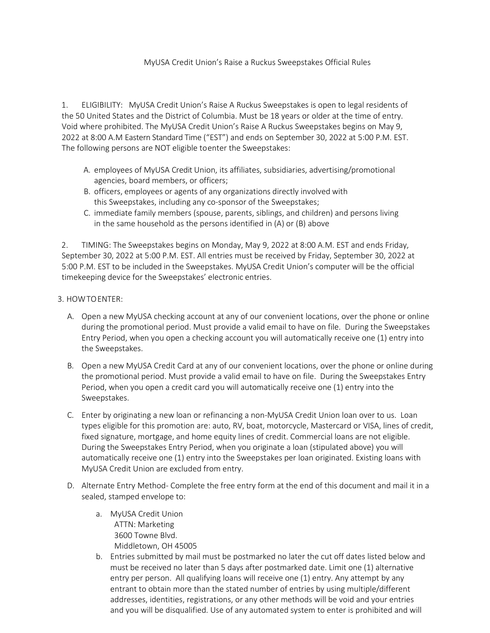## MyUSA Credit Union's Raise a Ruckus Sweepstakes Official Rules

1. ELIGIBILITY: MyUSA Credit Union's Raise A Ruckus Sweepstakes is open to legal residents of the 50 United States and the District of Columbia. Must be 18 years or older at the time of entry. Void where prohibited. The MyUSA Credit Union's Raise A Ruckus Sweepstakes begins on May 9, 2022 at 8:00 A.M Eastern Standard Time ("EST") and ends on September 30, 2022 at 5:00 P.M. EST. The following persons are NOT eligible toenter the Sweepstakes:

- A. employees of MyUSA Credit Union, its affiliates, subsidiaries, advertising/promotional agencies, board members, or officers;
- B. officers, employees or agents of any organizations directly involved with this Sweepstakes, including any co-sponsor of the Sweepstakes;
- C. immediate family members (spouse, parents, siblings, and children) and persons living in the same household as the persons identified in (A) or (B) above

2. TIMING: The Sweepstakes begins on Monday, May 9, 2022 at 8:00 A.M. EST and ends Friday, September 30, 2022 at 5:00 P.M. EST. All entries must be received by Friday, September 30, 2022 at 5:00 P.M. EST to be included in the Sweepstakes. MyUSA Credit Union's computer will be the official timekeeping device for the Sweepstakes' electronic entries.

- 3. HOWTOENTER:
	- A. Open a new MyUSA checking account at any of our convenient locations, over the phone or online during the promotional period. Must provide a valid email to have on file. During the Sweepstakes Entry Period, when you open a checking account you will automatically receive one (1) entry into the Sweepstakes.
	- B. Open a new MyUSA Credit Card at any of our convenient locations, over the phone or online during the promotional period. Must provide a valid email to have on file. During the Sweepstakes Entry Period, when you open a credit card you will automatically receive one (1) entry into the Sweepstakes.
	- C. Enter by originating a new loan or refinancing a non-MyUSA Credit Union loan over to us. Loan types eligible for this promotion are: auto, RV, boat, motorcycle, Mastercard or VISA, lines of credit, fixed signature, mortgage, and home equity lines of credit. Commercial loans are not eligible. During the Sweepstakes Entry Period, when you originate a loan (stipulated above) you will automatically receive one (1) entry into the Sweepstakes per loan originated. Existing loans with MyUSA Credit Union are excluded from entry.
	- D. Alternate Entry Method- Complete the free entry form at the end of this document and mail it in a sealed, stamped envelope to:
		- a. MyUSA Credit Union ATTN: Marketing 3600 Towne Blvd. Middletown, OH 45005
		- b. Entries submitted by mail must be postmarked no later the cut off dates listed below and must be received no later than 5 days after postmarked date. Limit one (1) alternative entry per person. All qualifying loans will receive one (1) entry. Any attempt by any entrant to obtain more than the stated number of entries by using multiple/different addresses, identities, registrations, or any other methods will be void and your entries and you will be disqualified. Use of any automated system to enter is prohibited and will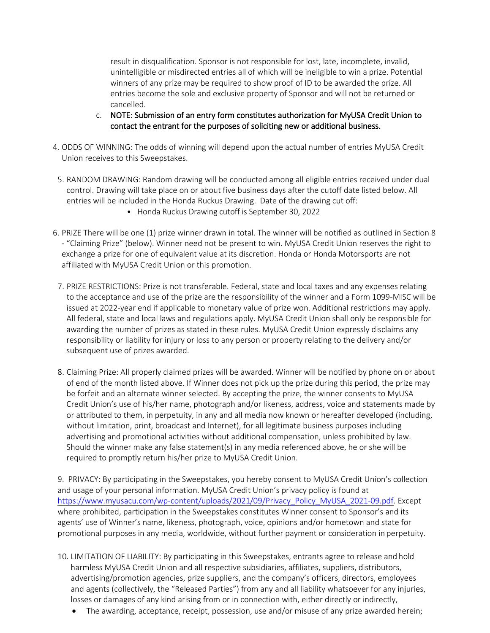result in disqualification. Sponsor is not responsible for lost, late, incomplete, invalid, unintelligible or misdirected entries all of which will be ineligible to win a prize. Potential winners of any prize may be required to show proof of ID to be awarded the prize. All entries become the sole and exclusive property of Sponsor and will not be returned or cancelled.

- c. NOTE: Submission of an entry form constitutes authorization for MyUSA Credit Union to contact the entrant for the purposes of soliciting new or additional business.
- 4. ODDS OF WINNING: The odds of winning will depend upon the actual number of entries MyUSA Credit Union receives to this Sweepstakes.
- 5. RANDOM DRAWING: Random drawing will be conducted among all eligible entries received under dual control. Drawing will take place on or about five business days after the cutoff date listed below. All entries will be included in the Honda Ruckus Drawing. Date of the drawing cut off:
	- Honda Ruckus Drawing cutoff is September 30, 2022
- 6. PRIZE There will be one (1) prize winner drawn in total. The winner will be notified as outlined in Section 8 - "Claiming Prize" (below). Winner need not be present to win. MyUSA Credit Union reserves the right to exchange a prize for one of equivalent value at its discretion. Honda or Honda Motorsports are not affiliated with MyUSA Credit Union or this promotion.
- 7. PRIZE RESTRICTIONS: Prize is not transferable. Federal, state and local taxes and any expenses relating to the acceptance and use of the prize are the responsibility of the winner and a Form 1099-MISC will be issued at 2022-year end if applicable to monetary value of prize won. Additional restrictions may apply. All federal, state and local laws and regulations apply. MyUSA Credit Union shall only be responsible for awarding the number of prizes as stated in these rules. MyUSA Credit Union expressly disclaims any responsibility or liability for injury or loss to any person or property relating to the delivery and/or subsequent use of prizes awarded.
- 8. Claiming Prize: All properly claimed prizes will be awarded. Winner will be notified by phone on or about of end of the month listed above. If Winner does not pick up the prize during this period, the prize may be forfeit and an alternate winner selected. By accepting the prize, the winner consents to MyUSA Credit Union's use of his/her name, photograph and/or likeness, address, voice and statements made by or attributed to them, in perpetuity, in any and all media now known or hereafter developed (including, without limitation, print, broadcast and Internet), for all legitimate business purposes including advertising and promotional activities without additional compensation, unless prohibited by law. Should the winner make any false statement(s) in any media referenced above, he or she will be required to promptly return his/her prize to MyUSA Credit Union.

9. PRIVACY: By participating in the Sweepstakes, you hereby consent to MyUSA Credit Union's collection and usage of your personal information. MyUSA Credit Union's privacy policy is found at [https://www.myusacu.com/wp-content/uploads/2021/09/Privacy\\_Policy\\_MyUSA\\_2021-09.pdf.](https://www.myusacu.com/wp-content/uploads/2021/09/Privacy_Policy_MyUSA_2021-09.pdf) Except where prohibited, participation in the Sweepstakes constitutes Winner consent to Sponsor's and its agents' use of Winner's name, likeness, photograph, voice, opinions and/or hometown and state for promotional purposes in any media, worldwide, without further payment or consideration in perpetuity.

- 10. LIMITATION OF LIABILITY: By participating in this Sweepstakes, entrants agree to release and hold harmless MyUSA Credit Union and all respective subsidiaries, affiliates, suppliers, distributors, advertising/promotion agencies, prize suppliers, and the company's officers, directors, employees and agents (collectively, the "Released Parties") from any and all liability whatsoever for any injuries, losses or damages of any kind arising from or in connection with, either directly or indirectly,
	- The awarding, acceptance, receipt, possession, use and/or misuse of any prize awarded herein;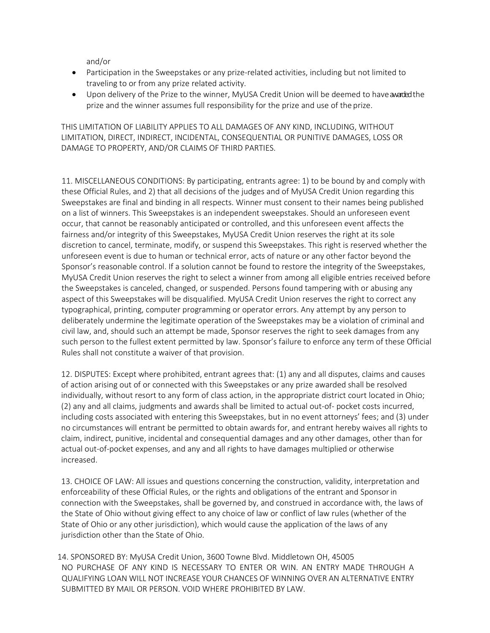and/or

- Participation in the Sweepstakes or any prize-related activities, including but not limited to traveling to or from any prize related activity.
- Upon delivery of the Prize to the winner, MyUSA Credit Union will be deemed to haveawardedthe prize and the winner assumes full responsibility for the prize and use of the prize.

THIS LIMITATION OF LIABILITY APPLIES TO ALL DAMAGES OF ANY KIND, INCLUDING, WITHOUT LIMITATION, DIRECT, INDIRECT, INCIDENTAL, CONSEQUENTIAL OR PUNITIVE DAMAGES, LOSS OR DAMAGE TO PROPERTY, AND/OR CLAIMS OF THIRD PARTIES.

11. MISCELLANEOUS CONDITIONS: By participating, entrants agree: 1) to be bound by and comply with these Official Rules, and 2) that all decisions of the judges and of MyUSA Credit Union regarding this Sweepstakes are final and binding in all respects. Winner must consent to their names being published on a list of winners. This Sweepstakes is an independent sweepstakes. Should an unforeseen event occur, that cannot be reasonably anticipated or controlled, and this unforeseen event affects the fairness and/or integrity of this Sweepstakes, MyUSA Credit Union reserves the right at its sole discretion to cancel, terminate, modify, or suspend this Sweepstakes. This right is reserved whether the unforeseen event is due to human or technical error, acts of nature or any other factor beyond the Sponsor's reasonable control. If a solution cannot be found to restore the integrity of the Sweepstakes, MyUSA Credit Union reserves the right to select a winner from among all eligible entries received before the Sweepstakes is canceled, changed, or suspended. Persons found tampering with or abusing any aspect of this Sweepstakes will be disqualified. MyUSA Credit Union reserves the right to correct any typographical, printing, computer programming or operator errors. Any attempt by any person to deliberately undermine the legitimate operation of the Sweepstakes may be a violation of criminal and civil law, and, should such an attempt be made, Sponsor reserves the right to seek damages from any such person to the fullest extent permitted by law. Sponsor's failure to enforce any term of these Official Rules shall not constitute a waiver of that provision.

12. DISPUTES: Except where prohibited, entrant agrees that: (1) any and all disputes, claims and causes of action arising out of or connected with this Sweepstakes or any prize awarded shall be resolved individually, without resort to any form of class action, in the appropriate district court located in Ohio; (2) any and all claims, judgments and awards shall be limited to actual out-of- pocket costs incurred, including costs associated with entering this Sweepstakes, but in no event attorneys' fees; and (3) under no circumstances will entrant be permitted to obtain awards for, and entrant hereby waives all rights to claim, indirect, punitive, incidental and consequential damages and any other damages, other than for actual out-of-pocket expenses, and any and all rights to have damages multiplied or otherwise increased.

13. CHOICE OF LAW: All issues and questions concerning the construction, validity, interpretation and enforceability of these Official Rules, or the rights and obligations of the entrant and Sponsorin connection with the Sweepstakes, shall be governed by, and construed in accordance with, the laws of the State of Ohio without giving effect to any choice of law or conflict of law rules (whether of the State of Ohio or any other jurisdiction), which would cause the application of the laws of any jurisdiction other than the State of Ohio.

14. SPONSORED BY: MyUSA Credit Union, 3600 Towne Blvd. Middletown OH, 45005 NO PURCHASE OF ANY KIND IS NECESSARY TO ENTER OR WIN. AN ENTRY MADE THROUGH A QUALIFYING LOAN WILL NOT INCREASE YOUR CHANCES OF WINNING OVER AN ALTERNATIVE ENTRY SUBMITTED BY MAIL OR PERSON. VOID WHERE PROHIBITED BY LAW.